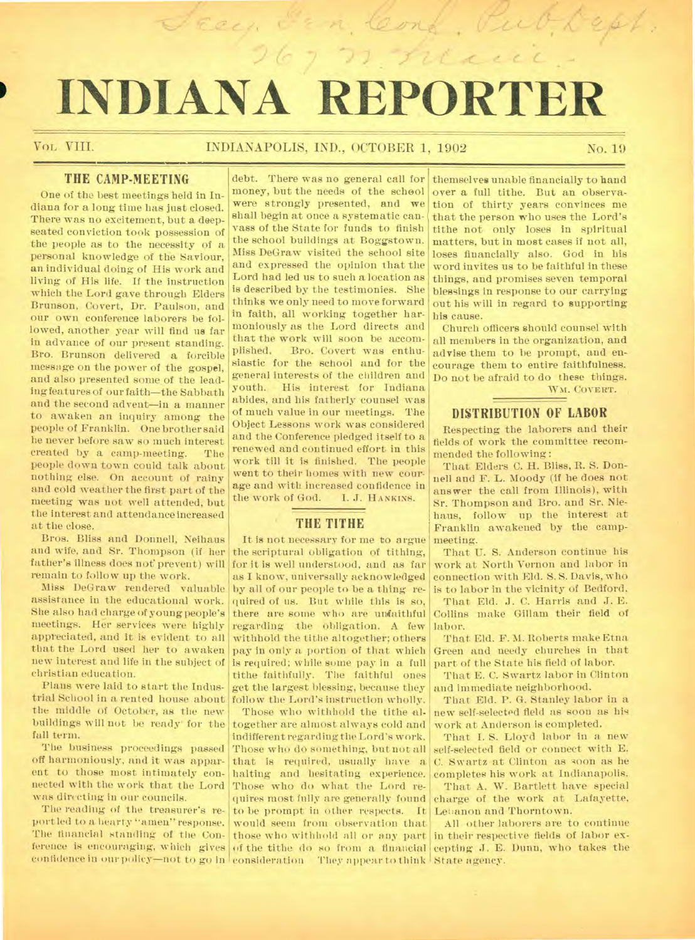# **' INDIANA REPORTER**

# VOL, VIII. INDIANAPOLIS, IND., OCTOBER 1, 1902 No. 19

Seey Fra, Conf. Publicht.

n neue

# **THE CAMP-MEETING**

One of the best meetings held in Indiana for a long time has just closed. There was no excitement, but a deepseated conviction took possession of the people as to the necessity of a personal knowledge of the Saviour, an individual doing of His work and living of His life. If the instruction which the Lord gave through Elders Brunson, Covert, Dr. Paulson, and our own conference laborers be followed, another year will find us far in advance of our present standing. Bro. Brunson delivered a forcible message on the power of the gospel, and also presented some of the leading features of our faith—the Sabbath and the second advent—in a manner to awaken an inquiry among the people of Franklin. One brother said he never before saw so much interest created by a camp-meeting. The people down town could talk about nothing else. On account of rainy and cold weather the first part of the meeting was not well attended, but the interest and attendance increased at the close.

Bros. Bliss and Donnell, Neihaus and wife, and Sr. Thompson (if her father's illness does not prevent) will remain to follow up the work.

Miss DeGraw rendered valuable assistance in the educational work. She also had charge of young people's meetings. Her services Were highly appreciated, and it is evident to all that the Lord used her to awaken new interest and life in the subject of christian education.

Plans were laid to start the Industrial School in a rented house about the middle of October, as the new buildings will not be ready' for the fall term.

The business proceedings passed off harmoniously, and it was apparent to those most intimately connected with the work that the Lord was directing in our councils.

The reading of the treasurer's report led to a hearty "amen" response. The financial standing of the Conference is encouraging, which gives of the tithe do so from a financial

debt. There was no general call for money, but the needs of the school were strongly presented, and we shall begin at once a systematic canvass of the State for funds to finish the school buildings at Boggstown. Miss DeGraw visited the school site and expressed the opinion that the Lord had led us to such a location as is described by the testimonies. She thinks we only need to move forward in faith, all working together harmoniously as the Lord directs and that the work will soon be accom-<br>plished. Bro. Covert was enthu-Bro. Covert was enthusiastic for the school and for the general interests of the children and youth. His interest for Indiana abides, and his fatherly counsel was of much value in our meetings. The Object Lessons work was considered and the Conference pledged itself to a renewed and continued effort in this work till it is finished. The people went to their homes with new courage and with increased confidence in the work of God. I. J. HANKINS.

# **THE TITHE**

It is not necessary for me to argue the scriptural obligation of tithing, for it is well understood, and as far as I know, universally acknowledged by all of our people to be a thing required of us. But while this is so, there are some who are unfaithful regarding the obligation. A few withhold the tithe altogether; others pay in only a portion of that which is required; while some pay in a full tithe faithfully. The faithful ones get the largest blessing, because they follow the Lord's instruction wholly.

confidence in our policy—not to go in consideration They appear to think State agency. Those who withhold the tithe altogether are almost always cold and indifferent regarding the Lord's work. Those who do something, but not all that is required, usually have a halting and hesitating experience. Those who do what the Lord requires most fully are generally found to be prompt in other respects. It would seem from observation that those who withhold all or any part

themselves unable financially to hand over a full tithe. But an observation of thirty years convinces me that the person who uses the Lord's tithe not only loses in spiritual matters, but in most cases if not all, loses financially also. God in his word invites us to be faithful in these things, and promises seven temporal blessings in response to our carrying out his will in regard to supporting his cause.

Church officers should counsel with all members in the organization, and advise them to he prompt, and encourage them to entire faithfulness. Do not be afraid to do these things. Wm. COVERT.

# **DISTRIBUTION OF LABOR**

Respecting the laborers and their fields of work the committee recommended the following:

That Elders C. H. Bliss, R. S. Donnell and F. L. Moody (if he does not answer the call from Illinois), with Sr. Thompson and Bro. and Sr. Niehaus, follow up the interest at Franklin awakened by the campmeeting.

That U. S. Anderson continue his work at North Vernon and labor in connection with Eld. S. S. Davis, who is to labor in the vicinity of Bedford.

That Eld. J. C. Harris and J. E. Collins make Gillam their field of labor.

That Eld. F. M. Roberts make Etna Green and needy churches in that part of the State his field of labor.

That E. C. Swartz labor in Clinton and immediate neighborhood.

That Eld. P. G. Stanley labor in a new self-selected field as soon as his work at Anderson is completed.

That I. S. Lloyd labor in a new self-selected field or connect with E. C. Swartz at Clinton as soon as he completes his work at Indianapolis. That A. W. Bartlett have special charge of the work at Lafayette, Lebanon and Thorntown.

All other laborers are to continue in their respective fields of labor excepting J. E. Dunn, who takes the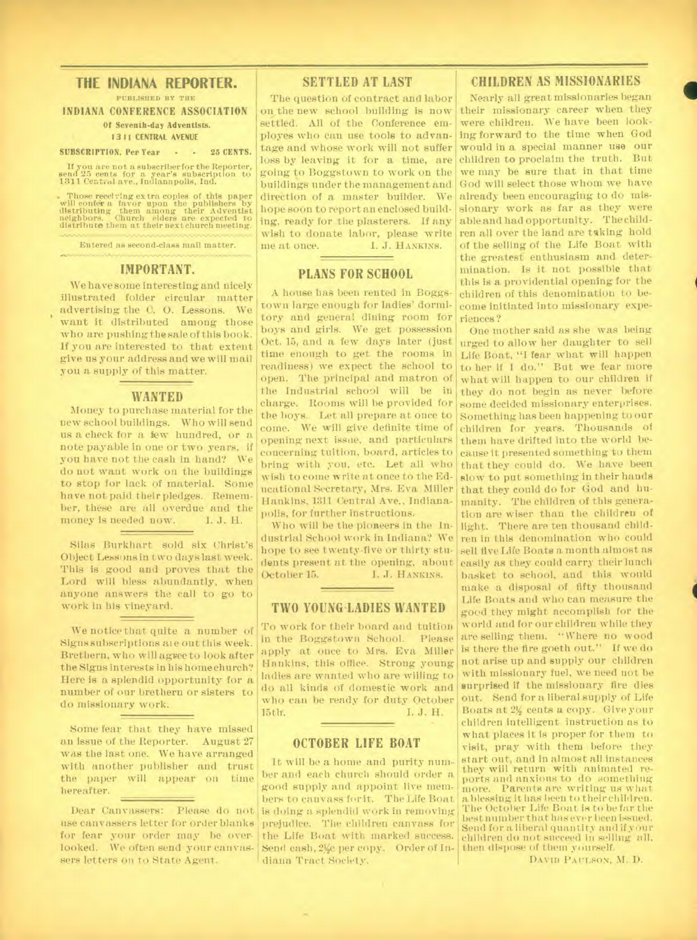# **THE INDIANA REPORTER.**

PUBLISHED BY THE **INDIANA CONFERENCE ASSOCIATION Of Seventh-day Adventists. 1311 CENTRAL AVENUE** 

#### **SUBSCRIPTION, Per Year - - 25 CENTS.**

If you are not a subscriber for the Reporter, send 25 cents for a year's subscription to 1311 Central ave., Indianapolis, Ind.

Those receiving extra copies of this paper will confer a favor upon the publishers by distributing them among their Adventist neighbors. Church elders are expected to distribute them at their next church meeting.

Entered as second-class mail matter.

#### **IMPORTANT.**

We have some interesting and nicely illustrated folder circular matter advertising the C. 0. Lessons. We want it distributed among those who are pushing the sale of this book. If you are interested to that extent give us your address and we will mail you a supply of this matter.

#### **WANTED**

Money to purchase material for the new school buildings. Who will send us a check for a few hundred, or a note payable in one or two years, if you have not the cash in hand? We do not want work on the buildings to stop for lack of material. Some have not paid their pledges. Remember, these are all overdue and the money is needed now. I. J. H.

Silas Burkhart sold six Christ's Object Lessons in two days last week. This is good and proves that the Lord will bless abundantly, when anyone answers the call to go to work in his vineyard.

We notice that quite a number of Signs subscriptions ate out this week. Brethern, who will agyee to look after the Signs interests in his home church? Here is a splendid opportunity for a number of our brethern or sisters to do missionary work.

Some fear that they have missed an issue of the Reporter. August 27 was the last one. We have arranged with another publisher and trust the paper will appear on time hereafter.

use canvassers letter for order blanks for fear your order may be overlooked. We often send your canvassers letters on to State Agent.

# **SETTLED AT LAST**

The question of contract and labor on the new school building is now settled. All of the Conference employes who can use tools to advantage and whose work will not suffer loss by leaving it for a time, are going to Boggstown to work on the buildings under the management and direction of a master builder. We already been encouraging to do mishope soon to report an enclosed building, ready for the plasterers. If any wish to donate labor, please write<br>me at once. <br> 1. J. HANKINS. I. J. HANKINS.

# **PLANS FOR SCHOOL**

A house has been rented in Boggstown large enough for ladies' dormitory and general dining room for boys and girls. We get possession Oct. 15, and a few days later (just time enough to get the rooms in readiness) we expect the school to open. The principal and matron of come. We will give definite time of opening next issue, and particulars concerning tuition, board, articles to bring with you, etc. Let all who wish to come write at once to the Educational Secretary, Mrs. Eva Miller Hankins, 1311 Central Ave., Indianapolis, for further instructions.

Who will be the pioneers in the Industrial School work in Indiana? We hope to see twenty-five or thirty students present at the opening, about<br>October 15. [I.J. HANKINS.] I. J. HANKINS.

#### **TWO YOUNG-LADIES WANTED**

To work for their board and tuition in the Boggstown School. Please apply at once to Mrs. Eva Miller Hankins, this office. Strong young ladies are wanted who are wiiling to do all kinds of domestic work and who can be ready for duty October 15th. I. J. H.

### **OCTOBER LIFE BOAT**

Dear Canvassers: Please do not is doing a splendid work in removing **It** will be a home and purity number and each church should order a good supply and appoint live members to canvass for it. The Life Boat prejudice. The children canvass for the Life Boat with marked success. Send cash, 2½c per copy. Order of Indiana Tract Society.

### **CHILDREN AS MISSIONARIES**

Nearly all great missionaries began their missionary career when they were children. We have been looking forward to the time when God would in a special manner use our children to proclaim the truth. But we may be sure that in that time God will select those whom we have sionary work as far as they were able and had opportunity. The children all over the land are taking hold of the selling of the Life Boat with the greatest enthusiasm and determination. Is it not possible that this is a providential opening for the children of this denomination to become initiated into missionary experiences ?

the Industrial school will be in they do not begin as never before charge. Rooms will be provided for some decided missionary enterprises. the boys. Let all prepare at once to Something has been happening to our One mother said as she was being urged to allow her daughter to sell Life Boat, "I fear what will happen to her if I do." But we fear more what will happen to our children if children for years. Thousands of them have drifted into the world because it presented something to them that they could do. We have been slow to put something in their hands that they could do for God and humanity. The children of this generation are wiser than the children of light. There are ten thousand children in this denomination who could sell five Life Boats a month almost as easily as they could carry their lunch basket to school, and this would make a disposal of fifty thousand Life Boats and who can measure the good they might accomplish for the world and for our children while they are selling them. " Where no wood is there the fire goeth out." If we do not arise up and supply our children with missionary fuel, we need not be surprised if the missionary fire dies out. Send for a liberal supply of Life Boats at 2½ cents a copy. Give your children intelligent instruction as to what places it is proper for them to visit, pray with them before they start out, and in almost all instances they will return with animated reports and anxious to do something Parents are writing us what a blessing it has been to their children. The October Life Boat is to be far the best number that has ever been issued. Send for a liberal quantity and if your children do not succeed in selling all, then dispose of them yourself.

DAVID PAULSON, M. D.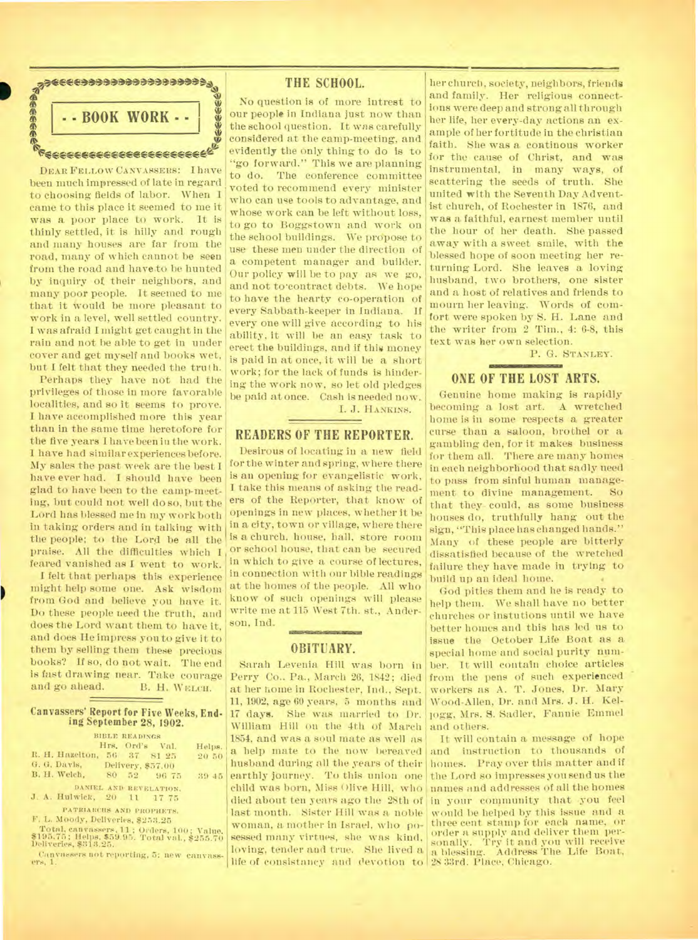

DEAR FELLOW CANVASSERS: I have been much impressed of late in regard to choosing fields of labor. When I came to this place it seemed to me it was a poor place to work. It is thinly settled, it is hilly and rough and many houses are far from the road, many of which cannot be seen from the road and have to be hunted by inquiry ol their neighbors, and many poor people. It seemed to me that it Would be more pleasant to work in a level, well settled country. I was afraid I might get caught in the rain and not be able to get in under cover and get myself and books wet, but I felt that they needed the truth.

Perhaps they have not had the privileges of those in more favorable localities, and so it seems to prove. **I** have accomplished more this year than in the same time heretofore for the five years I have been in the work. I have had similar experiences before. My sales the past week are the best I have ever had. **I** should have been glad to have been to the camp-meeting, but could not well do so, but the Lord has blessed me in my work both in taking orders and in talking with the people; to the Lord be all the praise. All the difficulties which I feared vanished as **I** went to work.

I felt that perhaps this experience might help some one. Ask wisdom from God and believe you have it. Do these people need the truth, and does the Lord want them to have it, and does He impress you to give it to them by selling them these precious books? If so, do not wait. The end is fast drawing near. Take courage B. H. WELCH.

#### **Canvassers' Report for Five Weeks, Ending September 28, 1902.**

| BIBLE READINGS                                                          |        |
|-------------------------------------------------------------------------|--------|
| Hrs. Ord's Val.                                                         | Helps. |
| R. H. Hazelton, 56 37 81 25                                             | 20.50  |
| G. G. Dayls, Delivery, \$57.00                                          |        |
| B. H. Welch, 80 52 96 75                                                | 39 45  |
| DANIEL AND REVELATION.                                                  |        |
| J. A. Hulwick, 20 11 17 75                                              |        |
| PATRIARCHS AND PROPHETS.                                                |        |
| F. L. Moody, Deliveries, \$253.25                                       |        |
| Total, canvassers, 11; Orders, 100; Value.                              |        |
| \$195.75; Helps, \$59.95. Total val., \$255.70<br>Deliveries, \$313.25. |        |

Canvassers not reporting, 5; new canvass-ers, 1.

# **THE SCHOOL.**

No question is of more intrest to our people in Indiana just now than the school question. It was carefully considered at the camp-meeting, and evidently the only thing to do is to "go forward." This we are planning to do. The conference committee voted to recommend every minister who can use tools to advantage, and whose work can be left without loss, to go to Boggstown and work on the school buildings. We propose to use these men under the direction of a competent manager and builder. Our policy will be to pay as we go, and not to contract debts. We hope to have the hearty co-operation of every Sabbath-keeper in Indiana. If every one will give according to his ability, it will be an easy task to erect the buildings, and if this money is paid in at once, it will be a short work; for the lack of funds is hindering the work now, so let old pledges be paid at once. Cash is needed now. I. J. HANKINS.

# **READERS OF THE REPORTER.**

Desirous of locating in a new field for the winter and spring, where there is au opening for evangelistic work, I take this means of asking the readers of the Reporter, that know of openings in new places, whether it be in a city, town or village, where there is a church, house, hall, store room or school house, that can be secured in which to give a course of lectures, in connection with our bible readings at the homes of the people. All who know of such openings will please write me at 115 West 7th. st., Anderson, Ind.

#### MERERNING WAS **OBITUARY.**

Sarah Levenia Hill was born in Perry Co.. Pa., March 26, 1842; died at her home in Rochester, Ind., Sept. **11,** 1902, age 60 years, 5 months and 17 days. She was married to Dr. William Hill on the 4th of March 1854, and was a soul mate as well as a help mate to the now bereaved husband during all the years of their earthly journey. To this union one child was born, Miss Olive Hill, who last month. Sister Hill was a noble woman, a mother in Israel, who posessed many virtues, she was kind, loving, tender and true. She lived a life of consistnney and devotion to 28 33rd. Place, Chicago.

her church, society, neighbors, friends and family. Her religious connections were deep and strong all through her life, her every-day actions an example of her fortitude in the christian faith. She was a continous worker for the cause of Christ, and was instrumental, in many ways, of scattering the seeds of truth. She united with the Seventh Day Adventist church, of Rochester in 1876, and was a faithful, earnest member until the hour of her death. She passed away with a sweet smile, with the blessed hope of soon meeting her returning Lord. She leaves a loving husband, two brothers, one sister and a host of relatives and friends to mourn her leaving. Words of comfort were spoken by S. H. Lane and the writer from 2 Tim., 4: 6-8, this text was her own selection.

P. G. STANLEY.

#### **ONE OF THE LOST ARTS.**

Genuine home making is rapidly becoming a lost art. A wretched home is in some respects a greater curse than a saloon, brothel or a gambling den, for it makes business for them all. There are many homes in each neighborhood that sadly need to pass from sinful human management to divine management. So that they- could, as some business houses do, truthfully hang out the sign, "This place has changed hands." Many of these people are bitterly dissatisfied because of the wretched failure they have made in trying to build up an ideal home.

God pities them and he is ready to help them. We shall have no better churches or instutions until we have better homes and this has led us to issue **the** October Life Boat as a special home and social purity number. It will contain choice articles from the pens of such experienced workers as A. T. Jones, Dr. Mary Wood-Allen, Dr. and Mrs. J. H. Kellogg, Mrs. **S.** Sadler, Fannie Emmel and others.

died about ten years ago the 28th of in your community that you feel It will contain a message of hope and instruction to thousands of homes. Pray over this matter and if the Lord so impresses you send us the names and addresses of all the homes would be helped by this issue and a three cent. stamp for each name, or order a supply and deliver them per-sonally. Try it and you will receive a blessing. Address The Life Boat,